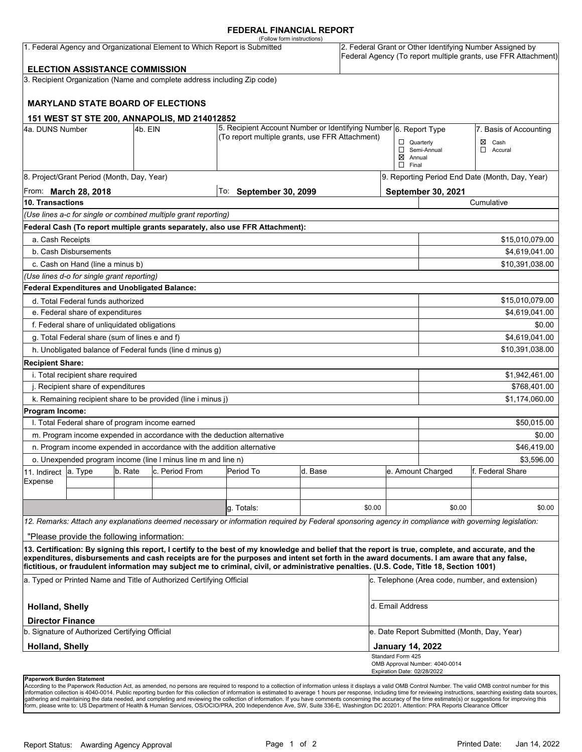### **FEDERAL FINANCIAL REPORT**

| (Follow form instructions)<br>1. Federal Agency and Organizational Element to Which Report is Submitted<br>2. Federal Grant or Other Identifying Number Assigned by<br><b>ELECTION ASSISTANCE COMMISSION</b> |                                                 |         |                                                                          |                                                                                                                                                                                                                                                                                         |         |                |                                                  |                                | Federal Agency (To report multiple grants, use FFR Attachment) |  |
|--------------------------------------------------------------------------------------------------------------------------------------------------------------------------------------------------------------|-------------------------------------------------|---------|--------------------------------------------------------------------------|-----------------------------------------------------------------------------------------------------------------------------------------------------------------------------------------------------------------------------------------------------------------------------------------|---------|----------------|--------------------------------------------------|--------------------------------|----------------------------------------------------------------|--|
|                                                                                                                                                                                                              |                                                 |         | 3. Recipient Organization (Name and complete address including Zip code) |                                                                                                                                                                                                                                                                                         |         |                |                                                  |                                |                                                                |  |
|                                                                                                                                                                                                              |                                                 |         |                                                                          |                                                                                                                                                                                                                                                                                         |         |                |                                                  |                                |                                                                |  |
|                                                                                                                                                                                                              |                                                 |         | <b>MARYLAND STATE BOARD OF ELECTIONS</b>                                 |                                                                                                                                                                                                                                                                                         |         |                |                                                  |                                |                                                                |  |
|                                                                                                                                                                                                              |                                                 |         |                                                                          |                                                                                                                                                                                                                                                                                         |         |                |                                                  |                                |                                                                |  |
| 151 WEST ST STE 200, ANNAPOLIS, MD 214012852<br>4a. DUNS Number<br>4b. EIN                                                                                                                                   |                                                 |         |                                                                          | 5. Recipient Account Number or Identifying Number 6. Report Type                                                                                                                                                                                                                        |         |                | 7. Basis of Accounting                           |                                |                                                                |  |
|                                                                                                                                                                                                              |                                                 |         |                                                                          | (To report multiple grants, use FFR Attachment)                                                                                                                                                                                                                                         |         |                |                                                  | $\Box$ Quarterly               | $\boxtimes$ Cash                                               |  |
|                                                                                                                                                                                                              |                                                 |         |                                                                          |                                                                                                                                                                                                                                                                                         |         |                | $\boxtimes$ Annual                               | Semi-Annual                    | Accural<br>□                                                   |  |
|                                                                                                                                                                                                              |                                                 |         |                                                                          |                                                                                                                                                                                                                                                                                         |         |                | $\Box$ Final                                     |                                |                                                                |  |
|                                                                                                                                                                                                              | 8. Project/Grant Period (Month, Day, Year)      |         |                                                                          |                                                                                                                                                                                                                                                                                         |         |                |                                                  |                                | 9. Reporting Period End Date (Month, Day, Year)                |  |
| From: <b>March 28, 2018</b>                                                                                                                                                                                  |                                                 |         |                                                                          | $ $ To: September 30, 2099                                                                                                                                                                                                                                                              |         |                | September 30, 2021                               |                                |                                                                |  |
| 10. Transactions                                                                                                                                                                                             |                                                 |         |                                                                          |                                                                                                                                                                                                                                                                                         |         |                |                                                  | Cumulative                     |                                                                |  |
|                                                                                                                                                                                                              |                                                 |         | (Use lines a-c for single or combined multiple grant reporting)          |                                                                                                                                                                                                                                                                                         |         |                |                                                  |                                |                                                                |  |
|                                                                                                                                                                                                              |                                                 |         |                                                                          | Federal Cash (To report multiple grants separately, also use FFR Attachment):                                                                                                                                                                                                           |         |                |                                                  |                                |                                                                |  |
| a. Cash Receipts                                                                                                                                                                                             |                                                 |         |                                                                          |                                                                                                                                                                                                                                                                                         |         |                |                                                  |                                | \$15,010,079.00                                                |  |
| b. Cash Disbursements                                                                                                                                                                                        |                                                 |         |                                                                          |                                                                                                                                                                                                                                                                                         |         | \$4,619,041.00 |                                                  |                                |                                                                |  |
|                                                                                                                                                                                                              | c. Cash on Hand (line a minus b)                |         |                                                                          |                                                                                                                                                                                                                                                                                         |         |                |                                                  |                                | \$10,391,038.00                                                |  |
|                                                                                                                                                                                                              | (Use lines d-o for single grant reporting)      |         |                                                                          |                                                                                                                                                                                                                                                                                         |         |                |                                                  |                                |                                                                |  |
|                                                                                                                                                                                                              | Federal Expenditures and Unobligated Balance:   |         |                                                                          |                                                                                                                                                                                                                                                                                         |         |                |                                                  |                                |                                                                |  |
|                                                                                                                                                                                                              | d. Total Federal funds authorized               |         |                                                                          |                                                                                                                                                                                                                                                                                         |         |                |                                                  |                                | \$15,010,079.00                                                |  |
| e. Federal share of expenditures                                                                                                                                                                             |                                                 |         |                                                                          |                                                                                                                                                                                                                                                                                         |         |                |                                                  | \$4,619,041.00                 |                                                                |  |
| f. Federal share of unliquidated obligations                                                                                                                                                                 |                                                 |         |                                                                          |                                                                                                                                                                                                                                                                                         |         |                |                                                  | \$0.00                         |                                                                |  |
| g. Total Federal share (sum of lines e and f)                                                                                                                                                                |                                                 |         |                                                                          |                                                                                                                                                                                                                                                                                         |         |                |                                                  | \$4,619,041.00                 |                                                                |  |
| h. Unobligated balance of Federal funds (line d minus g)                                                                                                                                                     |                                                 |         |                                                                          |                                                                                                                                                                                                                                                                                         |         |                |                                                  |                                | \$10,391,038.00                                                |  |
| <b>Recipient Share:</b>                                                                                                                                                                                      |                                                 |         |                                                                          |                                                                                                                                                                                                                                                                                         |         |                |                                                  |                                |                                                                |  |
|                                                                                                                                                                                                              | i. Total recipient share required               |         |                                                                          |                                                                                                                                                                                                                                                                                         |         |                |                                                  |                                | \$1,942,461.00                                                 |  |
| j. Recipient share of expenditures                                                                                                                                                                           |                                                 |         |                                                                          |                                                                                                                                                                                                                                                                                         |         |                |                                                  | \$768,401.00                   |                                                                |  |
|                                                                                                                                                                                                              |                                                 |         | k. Remaining recipient share to be provided (line i minus j)             |                                                                                                                                                                                                                                                                                         |         |                |                                                  |                                | \$1,174,060.00                                                 |  |
| Program Income:                                                                                                                                                                                              |                                                 |         |                                                                          |                                                                                                                                                                                                                                                                                         |         |                |                                                  |                                |                                                                |  |
|                                                                                                                                                                                                              | I. Total Federal share of program income earned |         |                                                                          |                                                                                                                                                                                                                                                                                         |         |                |                                                  |                                | \$50,015.00                                                    |  |
|                                                                                                                                                                                                              |                                                 |         | m. Program income expended in accordance with the deduction alternative  |                                                                                                                                                                                                                                                                                         |         |                |                                                  | \$0.00                         |                                                                |  |
|                                                                                                                                                                                                              |                                                 |         | n. Program income expended in accordance with the addition alternative   |                                                                                                                                                                                                                                                                                         |         |                |                                                  | \$46,419.00                    |                                                                |  |
|                                                                                                                                                                                                              |                                                 |         | o. Unexpended program income (line I minus line m and line n)            |                                                                                                                                                                                                                                                                                         |         |                |                                                  |                                | \$3,596.00                                                     |  |
| 11. Indirect                                                                                                                                                                                                 | a. Type                                         | b. Rate | c. Period From                                                           | Period To                                                                                                                                                                                                                                                                               | d. Base |                |                                                  | e. Amount Charged              | f. Federal Share                                               |  |
| Expense                                                                                                                                                                                                      |                                                 |         |                                                                          |                                                                                                                                                                                                                                                                                         |         |                |                                                  |                                |                                                                |  |
|                                                                                                                                                                                                              |                                                 |         |                                                                          |                                                                                                                                                                                                                                                                                         |         |                |                                                  |                                |                                                                |  |
|                                                                                                                                                                                                              |                                                 |         |                                                                          | g. Totals:                                                                                                                                                                                                                                                                              |         | \$0.00         |                                                  | \$0.00                         | \$0.00                                                         |  |
|                                                                                                                                                                                                              |                                                 |         |                                                                          | 12. Remarks: Attach any explanations deemed necessary or information required by Federal sponsoring agency in compliance with governing legislation:                                                                                                                                    |         |                |                                                  |                                |                                                                |  |
|                                                                                                                                                                                                              | "Please provide the following information:      |         |                                                                          |                                                                                                                                                                                                                                                                                         |         |                |                                                  |                                |                                                                |  |
|                                                                                                                                                                                                              |                                                 |         |                                                                          | 13. Certification: By signing this report, I certify to the best of my knowledge and belief that the report is true, complete, and accurate, and the                                                                                                                                    |         |                |                                                  |                                |                                                                |  |
|                                                                                                                                                                                                              |                                                 |         |                                                                          | expenditures, disbursements and cash receipts are for the purposes and intent set forth in the award documents. I am aware that any false,<br>fictitious, or fraudulent information may subject me to criminal, civil, or administrative penalties. (U.S. Code, Title 18, Section 1001) |         |                |                                                  |                                |                                                                |  |
|                                                                                                                                                                                                              |                                                 |         | a. Typed or Printed Name and Title of Authorized Certifying Official     |                                                                                                                                                                                                                                                                                         |         |                |                                                  |                                | c. Telephone (Area code, number, and extension)                |  |
|                                                                                                                                                                                                              |                                                 |         |                                                                          |                                                                                                                                                                                                                                                                                         |         |                |                                                  |                                |                                                                |  |
| <b>Holland, Shelly</b>                                                                                                                                                                                       |                                                 |         |                                                                          |                                                                                                                                                                                                                                                                                         |         |                | d. Email Address                                 |                                |                                                                |  |
| <b>Director Finance</b>                                                                                                                                                                                      |                                                 |         |                                                                          |                                                                                                                                                                                                                                                                                         |         |                |                                                  |                                |                                                                |  |
| b. Signature of Authorized Certifying Official                                                                                                                                                               |                                                 |         |                                                                          |                                                                                                                                                                                                                                                                                         |         |                | e. Date Report Submitted (Month, Day, Year)      |                                |                                                                |  |
| <b>Holland, Shelly</b>                                                                                                                                                                                       |                                                 |         |                                                                          |                                                                                                                                                                                                                                                                                         |         |                | <b>January 14, 2022</b>                          |                                |                                                                |  |
|                                                                                                                                                                                                              |                                                 |         |                                                                          |                                                                                                                                                                                                                                                                                         |         |                | Standard Form 425<br>Expiration Date: 02/28/2022 | OMB Approval Number: 4040-0014 |                                                                |  |
|                                                                                                                                                                                                              | Paperwork Burden Statement                      |         |                                                                          |                                                                                                                                                                                                                                                                                         |         |                |                                                  |                                |                                                                |  |

According to the Paperwork Reduction Act, as amended, no persons are required to respond to a collection of information unless it displays a valid OMB Control Number. The valid OMB control number for this<br>information colle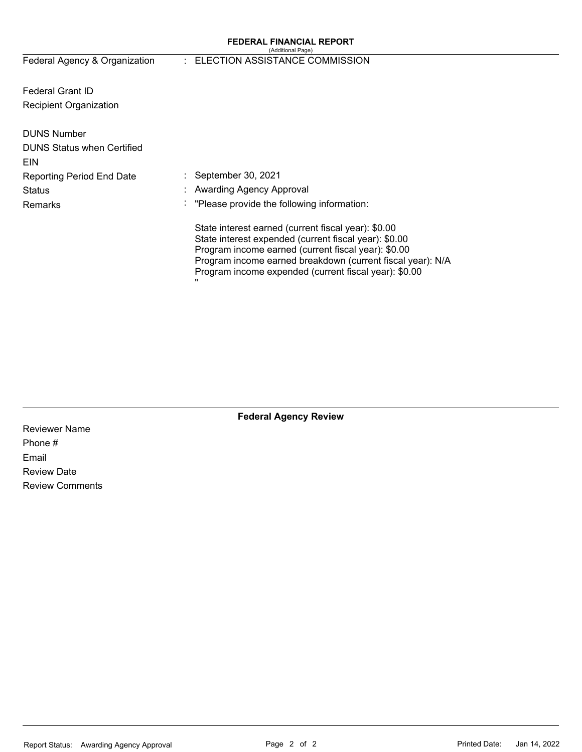#### **FEDERAL FINANCIAL REPORT**  (Additional Page)

Federal Agency & Organization

### : ELECTION ASSISTANCE COMMISSION

Federal Grant ID Recipient Organization

| <b>DUNS Number</b><br><b>DUNS Status when Certified</b><br><b>EIN</b> |                                                                                                                                                                                                                                                                                                 |
|-----------------------------------------------------------------------|-------------------------------------------------------------------------------------------------------------------------------------------------------------------------------------------------------------------------------------------------------------------------------------------------|
| <b>Reporting Period End Date</b>                                      | $\therefore$ September 30, 2021                                                                                                                                                                                                                                                                 |
| <b>Status</b>                                                         | : Awarding Agency Approval                                                                                                                                                                                                                                                                      |
| Remarks                                                               | : "Please provide the following information:                                                                                                                                                                                                                                                    |
|                                                                       | State interest earned (current fiscal year): \$0.00<br>State interest expended (current fiscal year): \$0.00<br>Program income earned (current fiscal year): \$0.00<br>Program income earned breakdown (current fiscal year): N/A<br>Program income expended (current fiscal year): \$0.00<br>" |

**Federal Agency Review** 

Reviewer Name Phone # Email Review Date Review Comments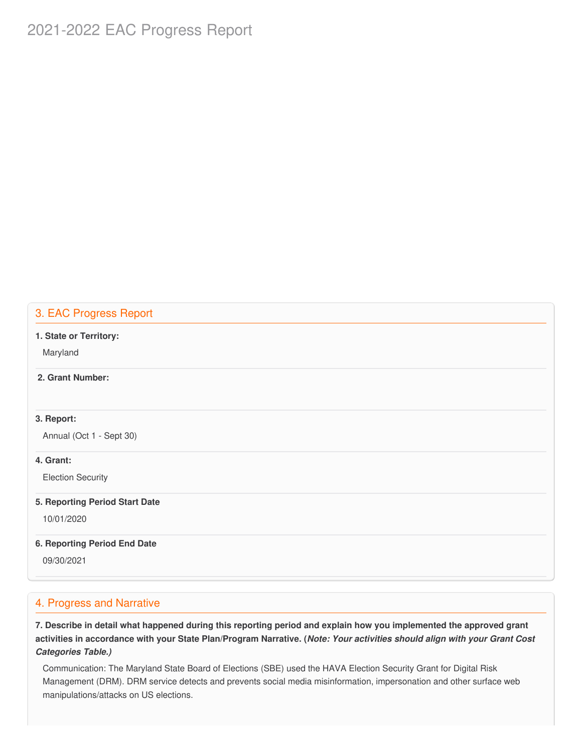# 2021-2022 EAC Progress Report

# 3. EAC Progress Report

#### **1. State or Territory:**

Maryland

### **2. Grant Number:**

### **3. Report:**

Annual (Oct 1 - Sept 30)

### **4. Grant:**

Election Security

#### **5. Reporting Period Start Date**

10/01/2020

#### **6. Reporting Period End Date**

09/30/2021

## 4. Progress and Narrative

7. Describe in detail what happened during this reporting period and explain how you implemented the approved grant activities in accordance with your State Plan/Program Narrative. (*Note: Your activities should align with your Grant Cost Categories Table.)*

 Communication: The Maryland State Board of Elections (SBE) used the HAVA Election Security Grant for Digital Risk Management (DRM). DRM service detects and prevents social media misinformation, impersonation and other surface web manipulations/attacks on US elections.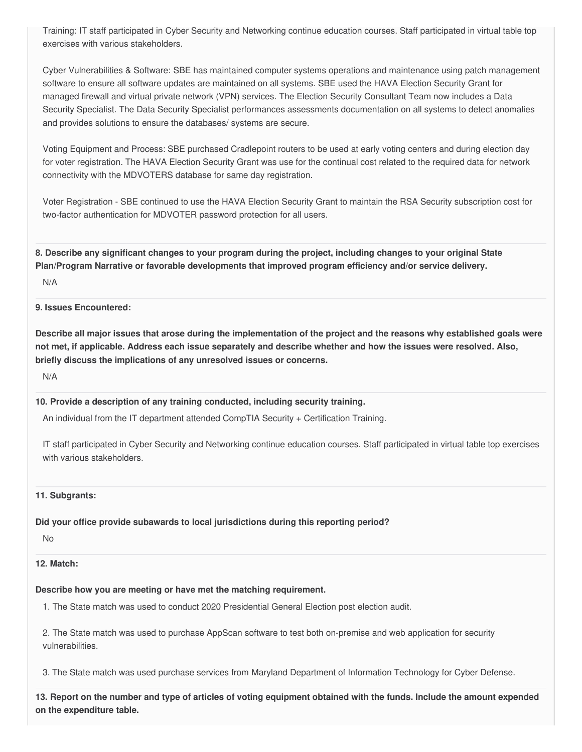Training: IT staff participated in Cyber Security and Networking continue education courses. Staff participated in virtual table top exercises with various stakeholders.

 Cyber Vulnerabilities & Software: SBE has maintained computer systems operations and maintenance using patch management software to ensure all software updates are maintained on all systems. SBE used the HAVA Election Security Grant for managed firewall and virtual private network (VPN) services. The Election Security Consultant Team now includes a Data Security Specialist. The Data Security Specialist performances assessments documentation on all systems to detect anomalies and provides solutions to ensure the databases/ systems are secure.

 Voting Equipment and Process: SBE purchased Cradlepoint routers to be used at early voting centers and during election day for voter registration. The HAVA Election Security Grant was use for the continual cost related to the required data for network connectivity with the MDVOTERS database for same day registration.

 Voter Registration - SBE continued to use the HAVA Election Security Grant to maintain the RSA Security subscription cost for two-factor authentication for MDVOTER password protection for all users.

8. Describe any significant changes to your program during the project, including changes to your original State  **Plan/Program Narrative or favorable developments that improved program efficiency and/or service delivery.**

N/A

### **9. Issues Encountered:**

Describe all major issues that arose during the implementation of the project and the reasons why established goals were not met, if applicable. Address each issue separately and describe whether and how the issues were resolved. Also,  **briefly discuss the implications of any unresolved issues or concerns.**

N/A

### **10. Provide a description of any training conducted, including security training.**

An individual from the IT department attended CompTIA Security + Certification Training.

 IT staff participated in Cyber Security and Networking continue education courses. Staff participated in virtual table top exercises with various stakeholders.

#### **11. Subgrants:**

### **Did your office provide subawards to local jurisdictions during this reporting period?**

No

#### **12. Match:**

### **Describe how you are meeting or have met the matching requirement.**

1. The State match was used to conduct 2020 Presidential General Election post election audit.

 2. The State match was used to purchase AppScan software to test both on-premise and web application for security vulnerabilities.

3. The State match was used purchase services from Maryland Department of Information Technology for Cyber Defense.

13. Report on the number and type of articles of voting equipment obtained with the funds. Include the amount expended  **on the expenditure table.**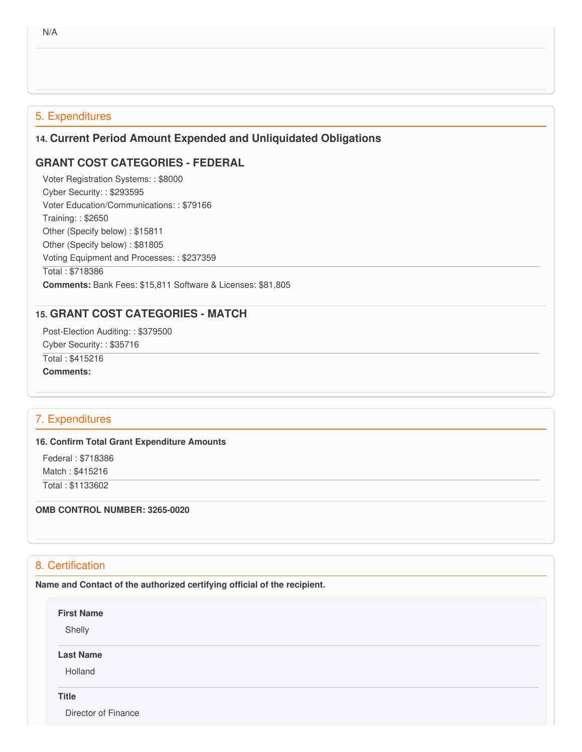# 5. Expenditures

# **14. Current Period Amount Expended and Unliquidated Obligations**

# **GRANT COST CATEGORIES - FEDERAL**

 Voter Registration Systems: : \$8000 Cyber Security: : \$293595 Voter Education/Communications: : \$79166 Training: : \$2650 Other (Specify below) : \$15811 Other (Specify below) : \$81805 Voting Equipment and Processes: : \$237359 Total : \$718386 **Comments:** Bank Fees: \$15,811 Software & Licenses: \$81,805

# **15. GRANT COST CATEGORIES - MATCH**

 Post-Election Auditing: : \$379500 Cyber Security: : \$35716 Total : \$415216

**Comments:**

# 7. Expenditures

### **16. Confirm Total Grant Expenditure Amounts**

Federal : \$718386

Match : \$415216

Total : \$1133602

 **OMB CONTROL NUMBER: 3265-0020**

# 8. Certification

 **Name and Contact of the authorized certifying official of the recipient.**

**First Name**

Shelly

**Last Name**

Holland

# **Title**

Director of Finance